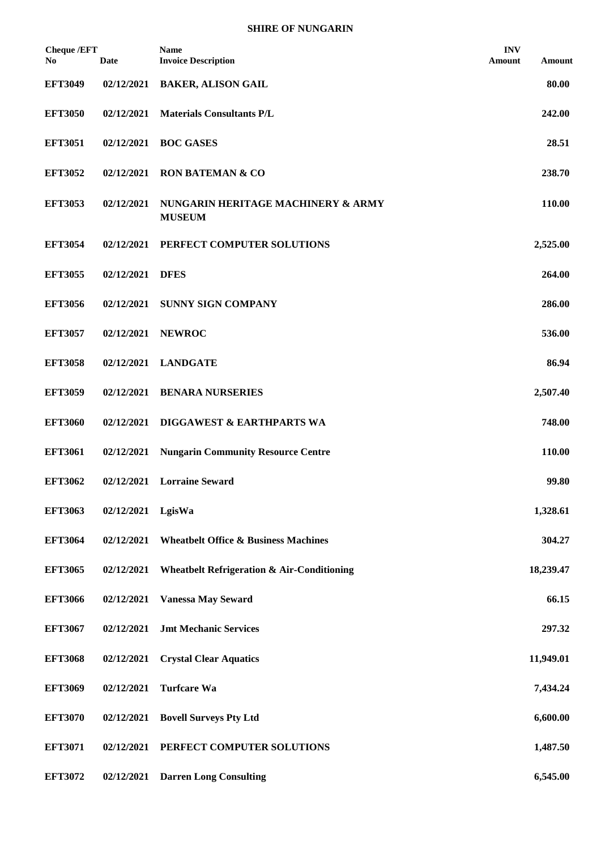| <b>Cheque /EFT</b><br>No. | <b>Date</b> | Name<br><b>Invoice Description</b>                    | <b>INV</b><br>Amount | Amount    |
|---------------------------|-------------|-------------------------------------------------------|----------------------|-----------|
| <b>EFT3049</b>            | 02/12/2021  | <b>BAKER, ALISON GAIL</b>                             |                      | 80.00     |
| <b>EFT3050</b>            | 02/12/2021  | <b>Materials Consultants P/L</b>                      |                      | 242.00    |
| <b>EFT3051</b>            | 02/12/2021  | <b>BOC GASES</b>                                      |                      | 28.51     |
| <b>EFT3052</b>            | 02/12/2021  | <b>RON BATEMAN &amp; CO</b>                           |                      | 238.70    |
| <b>EFT3053</b>            | 02/12/2021  | NUNGARIN HERITAGE MACHINERY & ARMY<br><b>MUSEUM</b>   |                      | 110.00    |
| <b>EFT3054</b>            | 02/12/2021  | PERFECT COMPUTER SOLUTIONS                            |                      | 2,525.00  |
| <b>EFT3055</b>            | 02/12/2021  | <b>DFES</b>                                           |                      | 264.00    |
| <b>EFT3056</b>            | 02/12/2021  | <b>SUNNY SIGN COMPANY</b>                             |                      | 286.00    |
| <b>EFT3057</b>            | 02/12/2021  | <b>NEWROC</b>                                         |                      | 536.00    |
| <b>EFT3058</b>            | 02/12/2021  | <b>LANDGATE</b>                                       |                      | 86.94     |
| <b>EFT3059</b>            | 02/12/2021  | <b>BENARA NURSERIES</b>                               |                      | 2,507.40  |
| <b>EFT3060</b>            | 02/12/2021  | DIGGAWEST & EARTHPARTS WA                             |                      | 748.00    |
| <b>EFT3061</b>            | 02/12/2021  | <b>Nungarin Community Resource Centre</b>             |                      | 110.00    |
| <b>EFT3062</b>            | 02/12/2021  | <b>Lorraine Seward</b>                                |                      | 99.80     |
| <b>EFT3063</b>            | 02/12/2021  | LgisWa                                                |                      | 1,328.61  |
| <b>EFT3064</b>            | 02/12/2021  | <b>Wheatbelt Office &amp; Business Machines</b>       |                      | 304.27    |
| <b>EFT3065</b>            | 02/12/2021  | <b>Wheatbelt Refrigeration &amp; Air-Conditioning</b> |                      | 18,239.47 |
| <b>EFT3066</b>            | 02/12/2021  | <b>Vanessa May Seward</b>                             |                      | 66.15     |
| <b>EFT3067</b>            | 02/12/2021  | <b>Jmt Mechanic Services</b>                          |                      | 297.32    |
| <b>EFT3068</b>            | 02/12/2021  | <b>Crystal Clear Aquatics</b>                         |                      | 11,949.01 |
| <b>EFT3069</b>            | 02/12/2021  | <b>Turfcare Wa</b>                                    |                      | 7,434.24  |
| <b>EFT3070</b>            | 02/12/2021  | <b>Bovell Surveys Pty Ltd</b>                         |                      | 6,600.00  |
| <b>EFT3071</b>            | 02/12/2021  | PERFECT COMPUTER SOLUTIONS                            |                      | 1,487.50  |
| <b>EFT3072</b>            | 02/12/2021  | <b>Darren Long Consulting</b>                         |                      | 6,545.00  |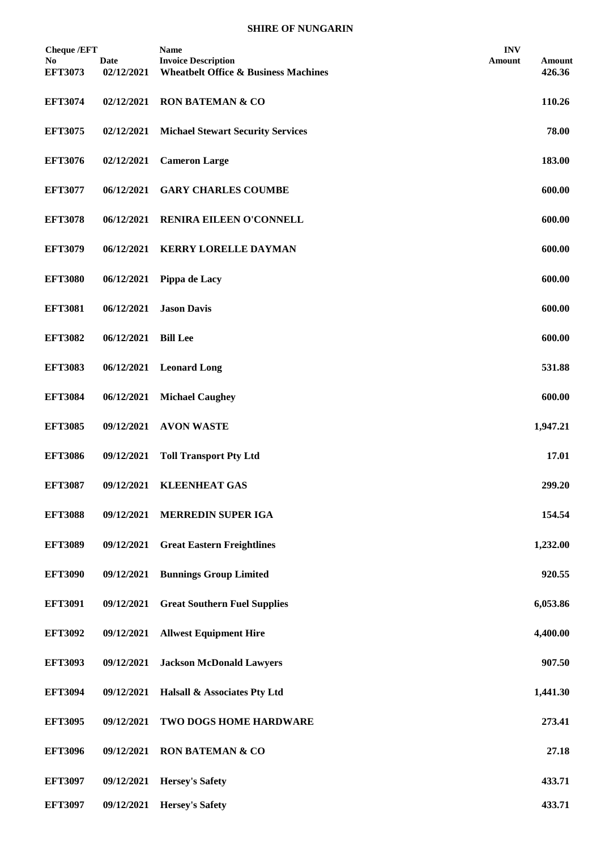| <b>Cheque /EFT</b>               |                    | <b>Name</b>                                                                   | <b>INV</b>                 |
|----------------------------------|--------------------|-------------------------------------------------------------------------------|----------------------------|
| N <sub>0</sub><br><b>EFT3073</b> | Date<br>02/12/2021 | <b>Invoice Description</b><br><b>Wheatbelt Office &amp; Business Machines</b> | Amount<br>Amount<br>426.36 |
| <b>EFT3074</b>                   | 02/12/2021         | <b>RON BATEMAN &amp; CO</b>                                                   | 110.26                     |
| <b>EFT3075</b>                   | 02/12/2021         | <b>Michael Stewart Security Services</b>                                      | 78.00                      |
| <b>EFT3076</b>                   | 02/12/2021         | <b>Cameron Large</b>                                                          | 183.00                     |
| <b>EFT3077</b>                   | 06/12/2021         | <b>GARY CHARLES COUMBE</b>                                                    | 600.00                     |
| <b>EFT3078</b>                   | 06/12/2021         | RENIRA EILEEN O'CONNELL                                                       | 600.00                     |
| <b>EFT3079</b>                   | 06/12/2021         | <b>KERRY LORELLE DAYMAN</b>                                                   | 600.00                     |
| <b>EFT3080</b>                   | 06/12/2021         | Pippa de Lacy                                                                 | 600.00                     |
| <b>EFT3081</b>                   | 06/12/2021         | <b>Jason Davis</b>                                                            | 600.00                     |
| <b>EFT3082</b>                   | 06/12/2021         | <b>Bill Lee</b>                                                               | 600.00                     |
| <b>EFT3083</b>                   | 06/12/2021         | <b>Leonard Long</b>                                                           | 531.88                     |
| <b>EFT3084</b>                   | 06/12/2021         | <b>Michael Caughey</b>                                                        | 600.00                     |
| <b>EFT3085</b>                   | 09/12/2021         | <b>AVON WASTE</b>                                                             | 1,947.21                   |
| <b>EFT3086</b>                   | 09/12/2021         | <b>Toll Transport Pty Ltd</b>                                                 | 17.01                      |
| <b>EFT3087</b>                   | 09/12/2021         | <b>KLEENHEAT GAS</b>                                                          | 299.20                     |
| <b>EFT3088</b>                   | 09/12/2021         | <b>MERREDIN SUPER IGA</b>                                                     | 154.54                     |
| <b>EFT3089</b>                   | 09/12/2021         | <b>Great Eastern Freightlines</b>                                             | 1,232.00                   |
| <b>EFT3090</b>                   | 09/12/2021         | <b>Bunnings Group Limited</b>                                                 | 920.55                     |
| <b>EFT3091</b>                   | 09/12/2021         | <b>Great Southern Fuel Supplies</b>                                           | 6,053.86                   |
| <b>EFT3092</b>                   | 09/12/2021         | <b>Allwest Equipment Hire</b>                                                 | 4,400.00                   |
| <b>EFT3093</b>                   | 09/12/2021         | <b>Jackson McDonald Lawyers</b>                                               | 907.50                     |
| <b>EFT3094</b>                   | 09/12/2021         | Halsall & Associates Pty Ltd                                                  | 1,441.30                   |
| <b>EFT3095</b>                   | 09/12/2021         | TWO DOGS HOME HARDWARE                                                        | 273.41                     |
| <b>EFT3096</b>                   | 09/12/2021         | <b>RON BATEMAN &amp; CO</b>                                                   | 27.18                      |
| <b>EFT3097</b>                   | 09/12/2021         | <b>Hersey's Safety</b>                                                        | 433.71                     |
| <b>EFT3097</b>                   | 09/12/2021         | <b>Hersey's Safety</b>                                                        | 433.71                     |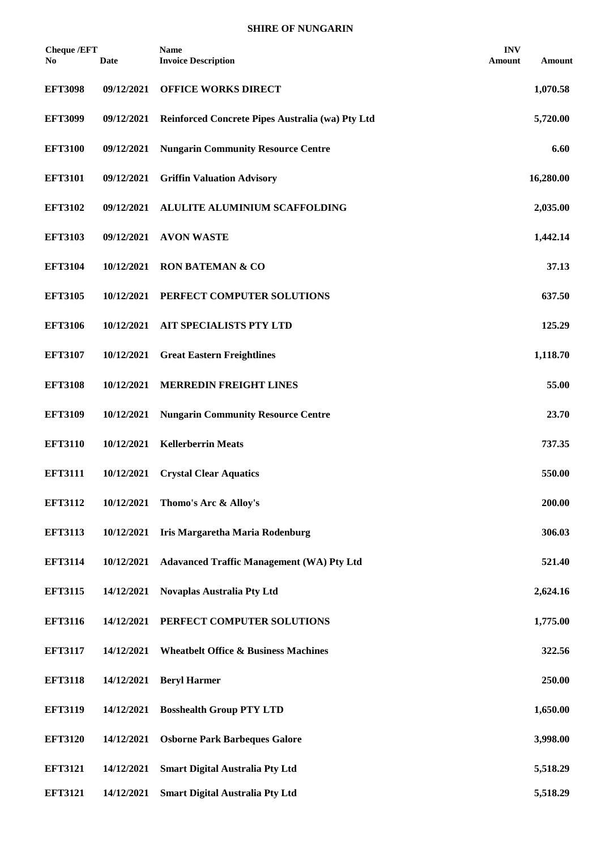| <b>Cheque /EFT</b><br>No | Date       | <b>Name</b><br><b>Invoice Description</b>        | <b>INV</b><br>Amount | Amount    |
|--------------------------|------------|--------------------------------------------------|----------------------|-----------|
| <b>EFT3098</b>           | 09/12/2021 | <b>OFFICE WORKS DIRECT</b>                       |                      | 1,070.58  |
| <b>EFT3099</b>           | 09/12/2021 | Reinforced Concrete Pipes Australia (wa) Pty Ltd |                      | 5,720.00  |
| <b>EFT3100</b>           | 09/12/2021 | <b>Nungarin Community Resource Centre</b>        |                      | 6.60      |
| <b>EFT3101</b>           | 09/12/2021 | <b>Griffin Valuation Advisory</b>                |                      | 16,280.00 |
| <b>EFT3102</b>           | 09/12/2021 | ALULITE ALUMINIUM SCAFFOLDING                    |                      | 2,035.00  |
| <b>EFT3103</b>           | 09/12/2021 | <b>AVON WASTE</b>                                |                      | 1,442.14  |
| <b>EFT3104</b>           | 10/12/2021 | <b>RON BATEMAN &amp; CO</b>                      |                      | 37.13     |
| <b>EFT3105</b>           | 10/12/2021 | PERFECT COMPUTER SOLUTIONS                       |                      | 637.50    |
| <b>EFT3106</b>           | 10/12/2021 | AIT SPECIALISTS PTY LTD                          |                      | 125.29    |
| <b>EFT3107</b>           | 10/12/2021 | <b>Great Eastern Freightlines</b>                |                      | 1,118.70  |
| <b>EFT3108</b>           | 10/12/2021 | <b>MERREDIN FREIGHT LINES</b>                    |                      | 55.00     |
| <b>EFT3109</b>           | 10/12/2021 | <b>Nungarin Community Resource Centre</b>        |                      | 23.70     |
| <b>EFT3110</b>           | 10/12/2021 | <b>Kellerberrin Meats</b>                        |                      | 737.35    |
| <b>EFT3111</b>           | 10/12/2021 | <b>Crystal Clear Aquatics</b>                    |                      | 550.00    |
| <b>EFT3112</b>           | 10/12/2021 | Thomo's Arc & Alloy's                            |                      | 200.00    |
| <b>EFT3113</b>           | 10/12/2021 | Iris Margaretha Maria Rodenburg                  |                      | 306.03    |
| <b>EFT3114</b>           | 10/12/2021 | <b>Adavanced Traffic Management (WA) Pty Ltd</b> |                      | 521.40    |
| <b>EFT3115</b>           | 14/12/2021 | <b>Novaplas Australia Pty Ltd</b>                |                      | 2,624.16  |
| <b>EFT3116</b>           | 14/12/2021 | PERFECT COMPUTER SOLUTIONS                       |                      | 1,775.00  |
| <b>EFT3117</b>           | 14/12/2021 | <b>Wheatbelt Office &amp; Business Machines</b>  |                      | 322.56    |
| <b>EFT3118</b>           | 14/12/2021 | <b>Beryl Harmer</b>                              |                      | 250.00    |
| <b>EFT3119</b>           | 14/12/2021 | <b>Bosshealth Group PTY LTD</b>                  |                      | 1,650.00  |
| <b>EFT3120</b>           | 14/12/2021 | <b>Osborne Park Barbeques Galore</b>             |                      | 3,998.00  |
| <b>EFT3121</b>           | 14/12/2021 | <b>Smart Digital Australia Pty Ltd</b>           |                      | 5,518.29  |
| <b>EFT3121</b>           | 14/12/2021 | <b>Smart Digital Australia Pty Ltd</b>           |                      | 5,518.29  |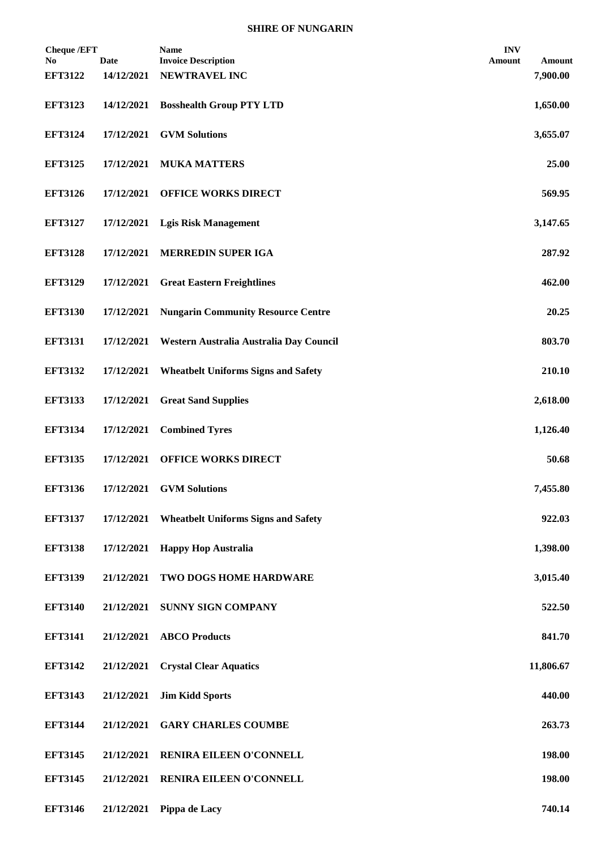| <b>Cheque /EFT</b><br>No. | <b>Date</b> | <b>Name</b><br><b>Invoice Description</b>  | <b>INV</b><br><b>Amount</b> | Amount    |
|---------------------------|-------------|--------------------------------------------|-----------------------------|-----------|
| <b>EFT3122</b>            | 14/12/2021  | NEWTRAVEL INC                              |                             | 7,900.00  |
| <b>EFT3123</b>            | 14/12/2021  | <b>Bosshealth Group PTY LTD</b>            |                             | 1,650.00  |
| <b>EFT3124</b>            | 17/12/2021  | <b>GVM Solutions</b>                       |                             | 3,655.07  |
| <b>EFT3125</b>            | 17/12/2021  | <b>MUKA MATTERS</b>                        |                             | 25.00     |
| <b>EFT3126</b>            | 17/12/2021  | <b>OFFICE WORKS DIRECT</b>                 |                             | 569.95    |
| <b>EFT3127</b>            | 17/12/2021  | <b>Lgis Risk Management</b>                |                             | 3,147.65  |
| <b>EFT3128</b>            | 17/12/2021  | <b>MERREDIN SUPER IGA</b>                  |                             | 287.92    |
| <b>EFT3129</b>            | 17/12/2021  | <b>Great Eastern Freightlines</b>          |                             | 462.00    |
| <b>EFT3130</b>            | 17/12/2021  | <b>Nungarin Community Resource Centre</b>  |                             | 20.25     |
| <b>EFT3131</b>            | 17/12/2021  | Western Australia Australia Day Council    |                             | 803.70    |
| <b>EFT3132</b>            | 17/12/2021  | <b>Wheatbelt Uniforms Signs and Safety</b> |                             | 210.10    |
| <b>EFT3133</b>            | 17/12/2021  | <b>Great Sand Supplies</b>                 |                             | 2,618.00  |
| <b>EFT3134</b>            | 17/12/2021  | <b>Combined Tyres</b>                      |                             | 1,126.40  |
| <b>EFT3135</b>            | 17/12/2021  | <b>OFFICE WORKS DIRECT</b>                 |                             | 50.68     |
| <b>EFT3136</b>            | 17/12/2021  | <b>GVM Solutions</b>                       |                             | 7,455.80  |
| <b>EFT3137</b>            | 17/12/2021  | <b>Wheatbelt Uniforms Signs and Safety</b> |                             | 922.03    |
| <b>EFT3138</b>            | 17/12/2021  | <b>Happy Hop Australia</b>                 |                             | 1,398.00  |
| <b>EFT3139</b>            | 21/12/2021  | TWO DOGS HOME HARDWARE                     |                             | 3,015.40  |
| <b>EFT3140</b>            | 21/12/2021  | <b>SUNNY SIGN COMPANY</b>                  |                             | 522.50    |
| <b>EFT3141</b>            | 21/12/2021  | <b>ABCO Products</b>                       |                             | 841.70    |
| <b>EFT3142</b>            | 21/12/2021  | <b>Crystal Clear Aquatics</b>              |                             | 11,806.67 |
| <b>EFT3143</b>            | 21/12/2021  | <b>Jim Kidd Sports</b>                     |                             | 440.00    |
| <b>EFT3144</b>            | 21/12/2021  | <b>GARY CHARLES COUMBE</b>                 |                             | 263.73    |
| <b>EFT3145</b>            | 21/12/2021  | RENIRA EILEEN O'CONNELL                    |                             | 198.00    |
| <b>EFT3145</b>            | 21/12/2021  | RENIRA EILEEN O'CONNELL                    |                             | 198.00    |
| <b>EFT3146</b>            |             | 21/12/2021 Pippa de Lacy                   |                             | 740.14    |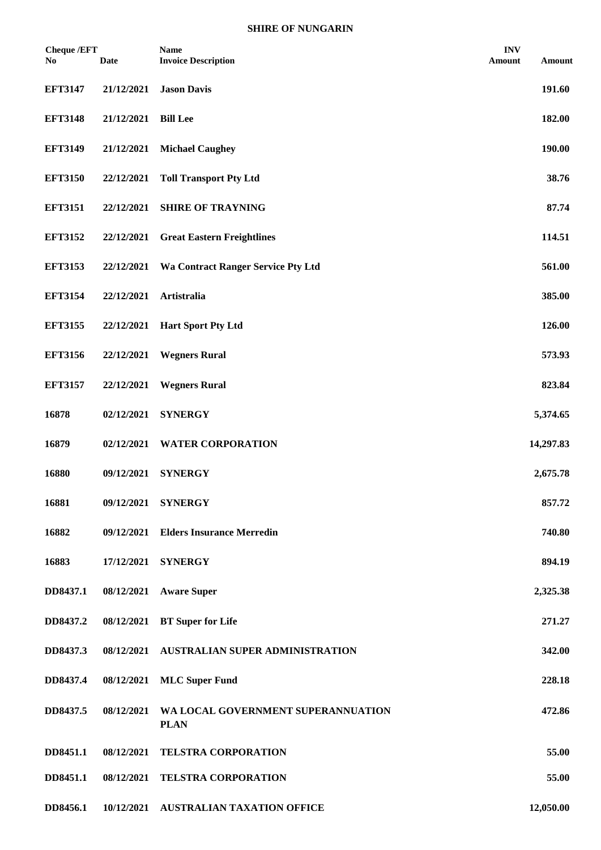| <b>Cheque /EFT</b><br>N <sub>0</sub> | <b>Date</b> | <b>Name</b><br><b>Invoice Description</b>         | <b>INV</b><br>Amount | Amount    |
|--------------------------------------|-------------|---------------------------------------------------|----------------------|-----------|
| <b>EFT3147</b>                       | 21/12/2021  | <b>Jason Davis</b>                                |                      | 191.60    |
| <b>EFT3148</b>                       | 21/12/2021  | <b>Bill Lee</b>                                   |                      | 182.00    |
| <b>EFT3149</b>                       | 21/12/2021  | <b>Michael Caughey</b>                            |                      | 190.00    |
| <b>EFT3150</b>                       | 22/12/2021  | <b>Toll Transport Pty Ltd</b>                     |                      | 38.76     |
| <b>EFT3151</b>                       | 22/12/2021  | <b>SHIRE OF TRAYNING</b>                          |                      | 87.74     |
| <b>EFT3152</b>                       | 22/12/2021  | <b>Great Eastern Freightlines</b>                 |                      | 114.51    |
| <b>EFT3153</b>                       | 22/12/2021  | Wa Contract Ranger Service Pty Ltd                |                      | 561.00    |
| <b>EFT3154</b>                       | 22/12/2021  | Artistralia                                       |                      | 385.00    |
| <b>EFT3155</b>                       | 22/12/2021  | <b>Hart Sport Pty Ltd</b>                         |                      | 126.00    |
| <b>EFT3156</b>                       | 22/12/2021  | <b>Wegners Rural</b>                              |                      | 573.93    |
| <b>EFT3157</b>                       | 22/12/2021  | <b>Wegners Rural</b>                              |                      | 823.84    |
| 16878                                | 02/12/2021  | <b>SYNERGY</b>                                    |                      | 5,374.65  |
| 16879                                | 02/12/2021  | <b>WATER CORPORATION</b>                          |                      | 14,297.83 |
| 16880                                | 09/12/2021  | <b>SYNERGY</b>                                    |                      | 2,675.78  |
| 16881                                | 09/12/2021  | <b>SYNERGY</b>                                    |                      | 857.72    |
| 16882                                | 09/12/2021  | <b>Elders Insurance Merredin</b>                  |                      | 740.80    |
| 16883                                | 17/12/2021  | <b>SYNERGY</b>                                    |                      | 894.19    |
| DD8437.1                             | 08/12/2021  | <b>Aware Super</b>                                |                      | 2,325.38  |
| DD8437.2                             | 08/12/2021  | <b>BT</b> Super for Life                          |                      | 271.27    |
| DD8437.3                             | 08/12/2021  | AUSTRALIAN SUPER ADMINISTRATION                   |                      | 342.00    |
| DD8437.4                             | 08/12/2021  | <b>MLC</b> Super Fund                             |                      | 228.18    |
| DD8437.5                             | 08/12/2021  | WA LOCAL GOVERNMENT SUPERANNUATION<br><b>PLAN</b> |                      | 472.86    |
| DD8451.1                             | 08/12/2021  | <b>TELSTRA CORPORATION</b>                        |                      | 55.00     |
| DD8451.1                             | 08/12/2021  | <b>TELSTRA CORPORATION</b>                        |                      | 55.00     |
| DD8456.1                             |             | 10/12/2021 AUSTRALIAN TAXATION OFFICE             |                      | 12,050.00 |